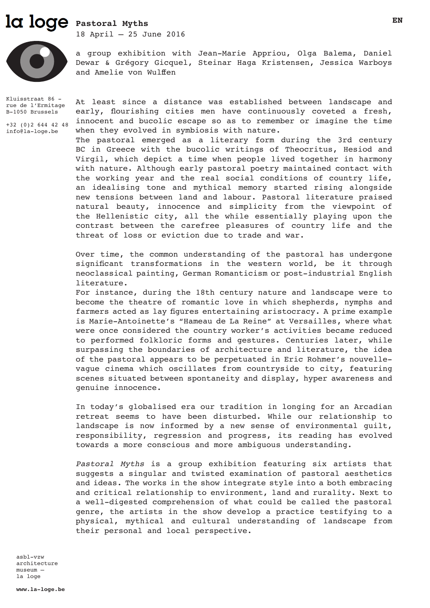# **Pastoral Myths**

18 April – 25 June 2016



a group exhibition with Jean-Marie Appriou, Olga Balema, Daniel Dewar & Grégory Gicquel, Steinar Haga Kristensen, Jessica Warboys and Amelie von Wulffen

Kluisstraat 86 rue de l'Ermitage B-1050 Brussels

+32 (0)2 644 42 48 info@la-loge.be

At least since a distance was established between landscape and early, flourishing cities men have continuously coveted a fresh, innocent and bucolic escape so as to remember or imagine the time when they evolved in symbiosis with nature.

The pastoral emerged as a literary form during the 3rd century BC in Greece with the bucolic writings of Theocritus, Hesiod and Virgil, which depict a time when people lived together in harmony with nature. Although early pastoral poetry maintained contact with the working year and the real social conditions of country life, an idealising tone and mythical memory started rising alongside new tensions between land and labour. Pastoral literature praised natural beauty, innocence and simplicity from the viewpoint of the Hellenistic city, all the while essentially playing upon the contrast between the carefree pleasures of country life and the threat of loss or eviction due to trade and war.

Over time, the common understanding of the pastoral has undergone significant transformations in the western world, be it through neoclassical painting, German Romanticism or post-industrial English literature.

For instance, during the 18th century nature and landscape were to become the theatre of romantic love in which shepherds, nymphs and farmers acted as lay figures entertaining aristocracy. A prime example is Marie-Antoinette's "Hameau de La Reine" at Versailles, where what were once considered the country worker's activities became reduced to performed folkloric forms and gestures. Centuries later, while surpassing the boundaries of architecture and literature, the idea of the pastoral appears to be perpetuated in Eric Rohmer's nouvellevague cinema which oscillates from countryside to city, featuring scenes situated between spontaneity and display, hyper awareness and genuine innocence.

In today's globalised era our tradition in longing for an Arcadian retreat seems to have been disturbed. While our relationship to landscape is now informed by a new sense of environmental guilt, responsibility, regression and progress, its reading has evolved towards a more conscious and more ambiguous understanding.

*Pastoral Myths* is a group exhibition featuring six artists that suggests a singular and twisted examination of pastoral aesthetics and ideas. The works in the show integrate style into a both embracing and critical relationship to environment, land and rurality. Next to a well-digested comprehension of what could be called the pastoral genre, the artists in the show develop a practice testifying to a physical, mythical and cultural understanding of landscape from their personal and local perspective.

asbl-vzw architecture museum – la loge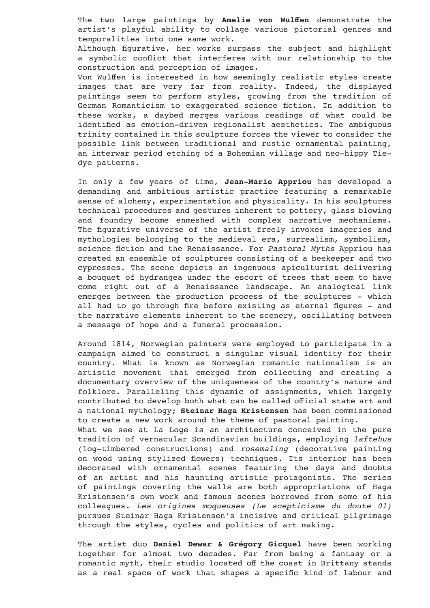The two large paintings by **Amelie von Wulffen** demonstrate the artist's playful ability to collage various pictorial genres and temporalities into one same work.

Although figurative, her works surpass the subject and highlight a symbolic conflict that interferes with our relationship to the construction and perception of images.

Von Wulffen is interested in how seemingly realistic styles create images that are very far from reality. Indeed, the displayed paintings seem to perform styles, growing from the tradition of German Romanticism to exaggerated science fiction. In addition to these works, a daybed merges various readings of what could be identified as emotion-driven regionalist aesthetics. The ambiguous trinity contained in this sculpture forces the viewer to consider the possible link between traditional and rustic ornamental painting, an interwar period etching of a Bohemian village and neo-hippy Tiedye patterns.

In only a few years of time, **Jean-Marie Appriou** has developed a demanding and ambitious artistic practice featuring a remarkable sense of alchemy, experimentation and physicality. In his sculptures technical procedures and gestures inherent to pottery, glass blowing and foundry become enmeshed with complex narrative mechanisms. The figurative universe of the artist freely invokes imageries and mythologies belonging to the medieval era, surrealism, symbolism, science fiction and the Renaissance. For *Pastoral Myths* Appriou has created an ensemble of sculptures consisting of a beekeeper and two cypresses. The scene depicts an ingenuous apiculturist delivering a bouquet of hydrangea under the escort of trees that seem to have come right out of a Renaissance landscape. An analogical link emerges between the production process of the sculptures - which all had to go through fire before existing as eternal figures - and the narrative elements inherent to the scenery, oscillating between a message of hope and a funeral procession.

Around 1814, Norwegian painters were employed to participate in a campaign aimed to construct a singular visual identity for their country. What is known as Norwegian romantic nationalism is an artistic movement that emerged from collecting and creating a documentary overview of the uniqueness of the country's nature and folklore. Paralleling this dynamic of assignments, which largely contributed to develop both what can be called official state art and a national mythology; **Steinar Haga Kristensen** has been commissioned to create a new work around the theme of pastoral painting. What we see at La Loge is an architecture conceived in the pure

tradition of vernacular Scandinavian buildings, employing *laftehus*  (log-timbered constructions) and *rosemaling* (decorative painting on wood using stylized flowers) techniques. Its interior has been decorated with ornamental scenes featuring the days and doubts of an artist and his haunting artistic protagonists. The series of paintings covering the walls are both appropriations of Haga Kristensen's own work and famous scenes borrowed from some of his colleagues. *Les origines moqueuses (Le scepticisme du doute 01)* pursues Steinar Haga Kristensen's incisive and critical pilgrimage through the styles, cycles and politics of art making.

The artist duo **Daniel Dewar & Grégory Gicquel** have been working together for almost two decades. Far from being a fantasy or a romantic myth, their studio located off the coast in Brittany stands as a real space of work that shapes a specific kind of labour and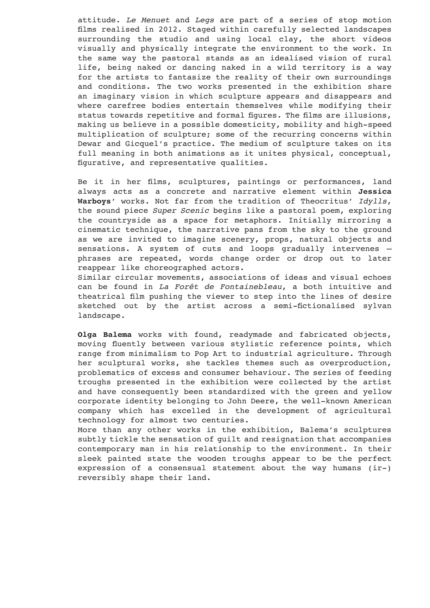attitude. *Le Menuet* and *Legs* are part of a series of stop motion films realised in 2012. Staged within carefully selected landscapes surrounding the studio and using local clay, the short videos visually and physically integrate the environment to the work. In the same way the pastoral stands as an idealised vision of rural life, being naked or dancing naked in a wild territory is a way for the artists to fantasize the reality of their own surroundings and conditions. The two works presented in the exhibition share an imaginary vision in which sculpture appears and disappears and where carefree bodies entertain themselves while modifying their status towards repetitive and formal figures. The films are illusions, making us believe in a possible domesticity, mobility and high-speed multiplication of sculpture; some of the recurring concerns within Dewar and Gicquel's practice. The medium of sculpture takes on its full meaning in both animations as it unites physical, conceptual, figurative, and representative qualities.

Be it in her films, sculptures, paintings or performances, land always acts as a concrete and narrative element within **Jessica Warboys**' works. Not far from the tradition of Theocritus' *Idylls*, the sound piece *Super Scenic* begins like a pastoral poem, exploring the countryside as a space for metaphors. Initially mirroring a cinematic technique, the narrative pans from the sky to the ground as we are invited to imagine scenery, props, natural objects and sensations. A system of cuts and loops gradually intervenes – phrases are repeated, words change order or drop out to later reappear like choreographed actors.

Similar circular movements, associations of ideas and visual echoes can be found in *La Forêt de Fontainebleau*, a both intuitive and theatrical film pushing the viewer to step into the lines of desire sketched out by the artist across a semi-fictionalised sylvan landscape.

**Olga Balema** works with found, readymade and fabricated objects, moving fluently between various stylistic reference points, which range from minimalism to Pop Art to industrial agriculture. Through her sculptural works, she tackles themes such as overproduction, problematics of excess and consumer behaviour. The series of feeding troughs presented in the exhibition were collected by the artist and have consequently been standardized with the green and yellow corporate identity belonging to John Deere, the well-known American company which has excelled in the development of agricultural technology for almost two centuries.

More than any other works in the exhibition, Balema's sculptures subtly tickle the sensation of guilt and resignation that accompanies contemporary man in his relationship to the environment. In their sleek painted state the wooden troughs appear to be the perfect expression of a consensual statement about the way humans (ir-) reversibly shape their land.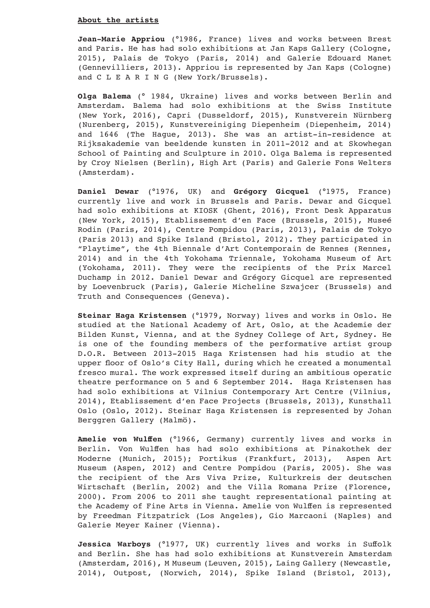#### **About the artists**

**Jean-Marie Appriou** (°1986, France) lives and works between Brest and Paris. He has had solo exhibitions at Jan Kaps Gallery (Cologne, 2015), Palais de Tokyo (Paris, 2014) and Galerie Edouard Manet (Gennevilliers, 2013). Appriou is represented by Jan Kaps (Cologne) and C L E A R I N G (New York/Brussels).

**Olga Balema** (° 1984, Ukraine) lives and works between Berlin and Amsterdam. Balema had solo exhibitions at the Swiss Institute (New York, 2016), Capri (Dusseldorf, 2015), Kunstverein Nürnberg (Nurenberg, 2015), Kunstvereiniging Diepenheim (Diepenheim, 2014) and 1646 (The Hague, 2013). She was an artist-in-residence at Rijksakademie van beeldende kunsten in 2011-2012 and at Skowhegan School of Painting and Sculpture in 2010. Olga Balema is represented by Croy Nielsen (Berlin), High Art (Paris) and Galerie Fons Welters (Amsterdam).

**Daniel Dewar** (°1976, UK) and **Grégory Gicquel** (°1975, France) currently live and work in Brussels and Paris. Dewar and Gicquel had solo exhibitions at KIOSK (Ghent, 2016), Front Desk Apparatus (New York, 2015), Etablissement d'en Face (Brussels, 2015), Museé Rodin (Paris, 2014), Centre Pompidou (Paris, 2013), Palais de Tokyo (Paris 2013) and Spike Island (Bristol, 2012). They participated in "Playtime", the 4th Biennale d'Art Contemporain de Rennes (Rennes, 2014) and in the 4th Yokohama Triennale, Yokohama Museum of Art (Yokohama, 2011). They were the recipients of the Prix Marcel Duchamp in 2012. Daniel Dewar and Grégory Gicquel are represented by Loevenbruck (Paris), Galerie Micheline Szwajcer (Brussels) and Truth and Consequences (Geneva).

**Steinar Haga Kristensen** (°1979, Norway) lives and works in Oslo. He studied at the National Academy of Art, Oslo, at the Academie der Bilden Kunst, Vienna, and at the Sydney College of Art, Sydney. He is one of the founding members of the performative artist group D.O.R. Between 2013-2015 Haga Kristensen had his studio at the upper floor of Oslo's City Hall, during which he created a monumental fresco mural. The work expressed itself during an ambitious operatic theatre performance on 5 and 6 September 2014. Haga Kristensen has had solo exhibitions at Vilnius Contemporary Art Centre (Vilnius, 2014), Etablissement d'en Face Projects (Brussels, 2013), Kunsthall Oslo (Oslo, 2012). Steinar Haga Kristensen is represented by Johan Berggren Gallery (Malmö).

**Amelie von Wulffen** (°1966, Germany) currently lives and works in Berlin. Von Wulffen has had solo exhibitions at Pinakothek der Moderne (Munich, 2015); Portikus (Frankfurt, 2013), Aspen Art Museum (Aspen, 2012) and Centre Pompidou (Paris, 2005). She was the recipient of the Ars Viva Prize, Kulturkreis der deutschen Wirtschaft (Berlin, 2002) and the Villa Romana Prize (Florence, 2000). From 2006 to 2011 she taught representational painting at the Academy of Fine Arts in Vienna. Amelie von Wulffen is represented by Freedman Fitzpatrick (Los Angeles), Gio Marcaoni (Naples) and Galerie Meyer Kainer (Vienna).

Jessica Warboys (°1977, UK) currently lives and works in Suffolk and Berlin. She has had solo exhibitions at Kunstverein Amsterdam (Amsterdam, 2016), M Museum (Leuven, 2015), Laing Gallery (Newcastle, 2014), Outpost, (Norwich, 2014), Spike Island (Bristol, 2013),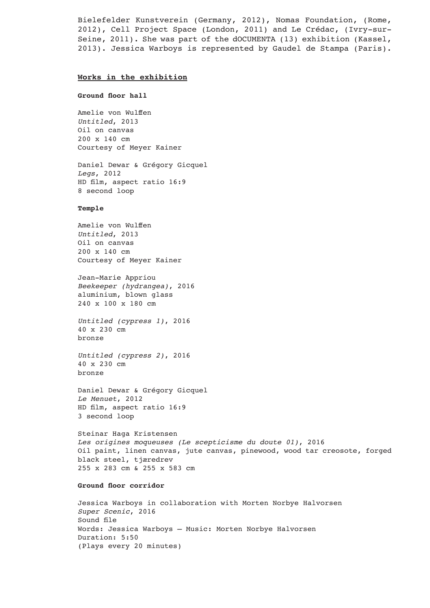Bielefelder Kunstverein (Germany, 2012), Nomas Foundation, (Rome, 2012), Cell Project Space (London, 2011) and Le Crédac, (Ivry-sur-Seine, 2011). She was part of the dOCUMENTA (13) exhibition (Kassel, 2013). Jessica Warboys is represented by Gaudel de Stampa (Paris).

# **Works in the exhibition**

#### **Ground floor hall**

Amelie von Wulffen *Untitled*, 2013 Oil on canvas 200 x 140 cm Courtesy of Meyer Kainer

Daniel Dewar & Grégory Gicquel *Legs*, 2012 HD film, aspect ratio 16:9 8 second loop

# **Temple**

Amelie von Wulffen *Untitled*, 2013 Oil on canvas 200 x 140 cm Courtesy of Meyer Kainer

Jean-Marie Appriou *Beekeeper (hydrangea)*, 2016 aluminium, blown glass 240 x 100 x 180 cm

*Untitled (cypress 1)*, 2016 40 x 230 cm bronze

*Untitled (cypress 2)*, 2016 40 x 230 cm bronze

Daniel Dewar & Grégory Gicquel *Le Menuet*, 2012 HD film, aspect ratio 16:9 3 second loop

Steinar Haga Kristensen *Les origines moqueuses (Le scepticisme du doute 01)*, 2016 Oil paint, linen canvas, jute canvas, pinewood, wood tar creosote, forged black steel, tjæredrev 255 x 283 cm & 255 x 583 cm

# **Ground floor corridor**

Jessica Warboys in collaboration with Morten Norbye Halvorsen *Super Scenic*, 2016 Sound file Words: Jessica Warboys – Music: Morten Norbye Halvorsen Duration: 5:50 (Plays every 20 minutes)